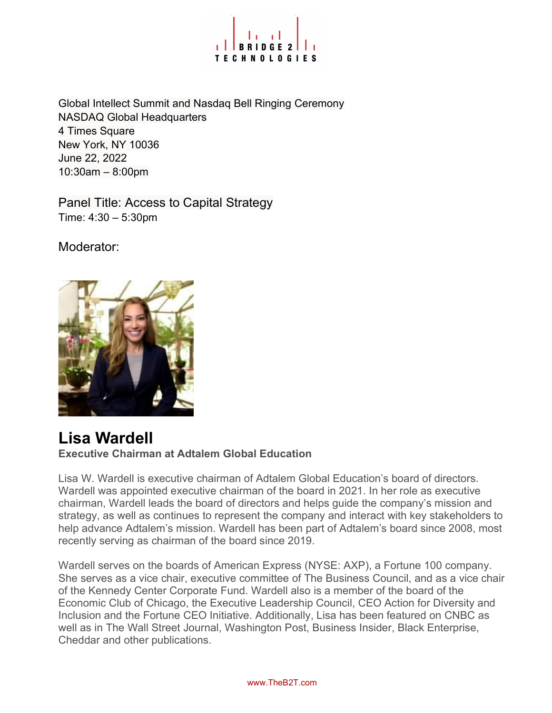

Global Intellect Summit and Nasdaq Bell Ringing Ceremony NASDAQ Global Headquarters 4 Times Square New York, NY 10036 June 22, 2022 10:30am – 8:00pm

Panel Title: Access to Capital Strategy Time: 4:30 – 5:30pm

Moderator:



#### Lisa Wardell Executive Chairman at Adtalem Global Education

Lisa W. Wardell is executive chairman of Adtalem Global Education's board of directors. Wardell was appointed executive chairman of the board in 2021. In her role as executive chairman, Wardell leads the board of directors and helps guide the company's mission and strategy, as well as continues to represent the company and interact with key stakeholders to help advance Adtalem's mission. Wardell has been part of Adtalem's board since 2008, most recently serving as chairman of the board since 2019.

Wardell serves on the boards of American Express (NYSE: AXP), a Fortune 100 company. She serves as a vice chair, executive committee of The Business Council, and as a vice chair of the Kennedy Center Corporate Fund. Wardell also is a member of the board of the Economic Club of Chicago, the Executive Leadership Council, CEO Action for Diversity and Inclusion and the Fortune CEO Initiative. Additionally, Lisa has been featured on CNBC as well as in The Wall Street Journal, Washington Post, Business Insider, Black Enterprise, Cheddar and other publications.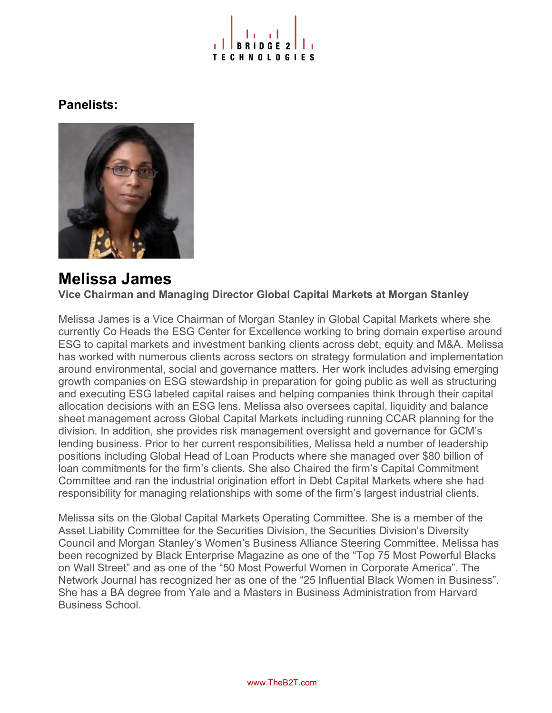

### Panelists:



# Melissa James

Vice Chairman and Managing Director Global Capital Markets at Morgan Stanley

Melissa James is a Vice Chairman of Morgan Stanley in Global Capital Markets where she currently Co Heads the ESG Center for Excellence working to bring domain expertise around ESG to capital markets and investment banking clients across debt, equity and M&A. Melissa has worked with numerous clients across sectors on strategy formulation and implementation around environmental, social and governance matters. Her work includes advising emerging growth companies on ESG stewardship in preparation for going public as well as structuring and executing ESG labeled capital raises and helping companies think through their capital allocation decisions with an ESG lens. Melissa also oversees capital, liquidity and balance sheet management across Global Capital Markets including running CCAR planning for the division. In addition, she provides risk management oversight and governance for GCM's lending business. Prior to her current responsibilities, Melissa held a number of leadership positions including Global Head of Loan Products where she managed over \$80 billion of loan commitments for the firm's clients. She also Chaired the firm's Capital Commitment Committee and ran the industrial origination effort in Debt Capital Markets where she had responsibility for managing relationships with some of the firm's largest industrial clients.

Melissa sits on the Global Capital Markets Operating Committee. She is a member of the Asset Liability Committee for the Securities Division, the Securities Division's Diversity Council and Morgan Stanley's Women's Business Alliance Steering Committee. Melissa has been recognized by Black Enterprise Magazine as one of the "Top 75 Most Powerful Blacks on Wall Street" and as one of the "50 Most Powerful Women in Corporate America". The Network Journal has recognized her as one of the "25 Influential Black Women in Business". She has a BA degree from Yale and a Masters in Business Administration from Harvard Business School.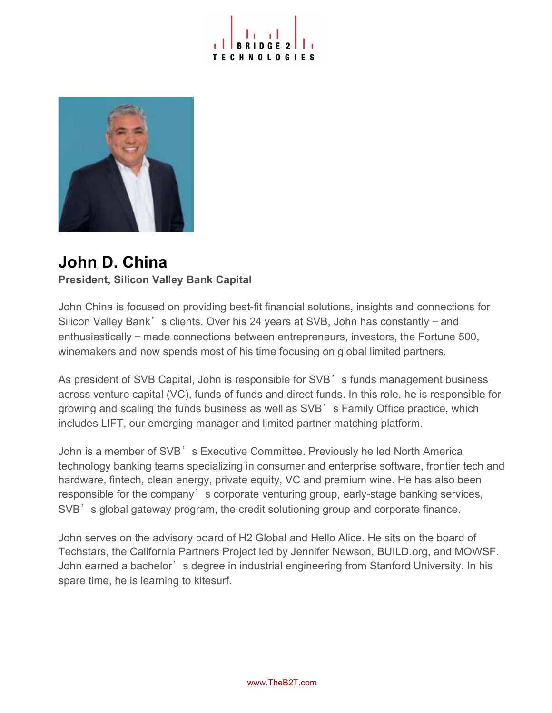



## John D. China President, Silicon Valley Bank Capital

John China is focused on providing best-fit financial solutions, insights and connections for Silicon Valley Bank's clients. Over his 24 years at SVB, John has constantly – and enthusiastically — made connections between entrepreneurs, investors, the Fortune 500, winemakers and now spends most of his time focusing on global limited partners.

As president of SVB Capital, John is responsible for SVB<sup>'</sup> s funds management business across venture capital (VC), funds of funds and direct funds. In this role, he is responsible for growing and scaling the funds business as well as SVB<sup>3</sup> s Family Office practice, which includes LIFT, our emerging manager and limited partner matching platform.

John is a member of SVB<sup>'</sup>s Executive Committee. Previously he led North America technology banking teams specializing in consumer and enterprise software, frontier tech and hardware, fintech, clean energy, private equity, VC and premium wine. He has also been responsible for the company's corporate venturing group, early-stage banking services, SVB<sup>'</sup> s global gateway program, the credit solutioning group and corporate finance.

John serves on the advisory board of H2 Global and Hello Alice. He sits on the board of Techstars, the California Partners Project led by Jennifer Newson, BUILD.org, and MOWSF. John earned a bachelor's degree in industrial engineering from Stanford University. In his spare time, he is learning to kitesurf.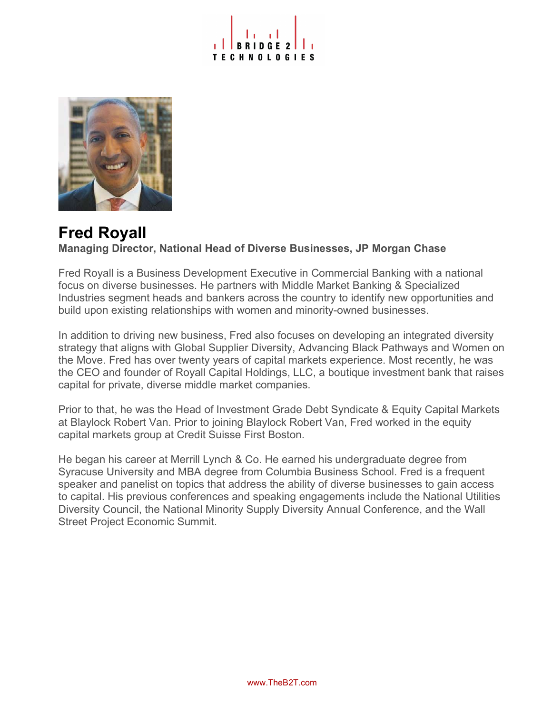



### Fred Royall Managing Director, National Head of Diverse Businesses, JP Morgan Chase

Fred Royall is a Business Development Executive in Commercial Banking with a national focus on diverse businesses. He partners with Middle Market Banking & Specialized Industries segment heads and bankers across the country to identify new opportunities and build upon existing relationships with women and minority-owned businesses.

In addition to driving new business, Fred also focuses on developing an integrated diversity strategy that aligns with Global Supplier Diversity, Advancing Black Pathways and Women on the Move. Fred has over twenty years of capital markets experience. Most recently, he was the CEO and founder of Royall Capital Holdings, LLC, a boutique investment bank that raises capital for private, diverse middle market companies.

Prior to that, he was the Head of Investment Grade Debt Syndicate & Equity Capital Markets at Blaylock Robert Van. Prior to joining Blaylock Robert Van, Fred worked in the equity capital markets group at Credit Suisse First Boston.

He began his career at Merrill Lynch & Co. He earned his undergraduate degree from Syracuse University and MBA degree from Columbia Business School. Fred is a frequent speaker and panelist on topics that address the ability of diverse businesses to gain access to capital. His previous conferences and speaking engagements include the National Utilities Diversity Council, the National Minority Supply Diversity Annual Conference, and the Wall Street Project Economic Summit.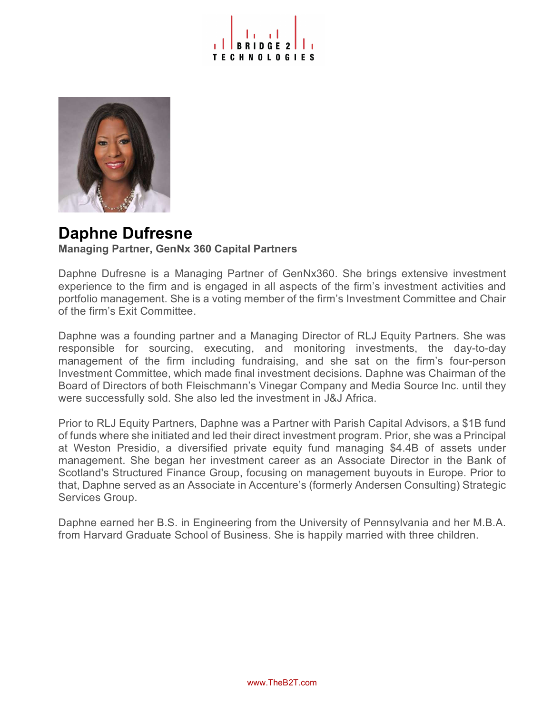



### Daphne Dufresne Managing Partner, GenNx 360 Capital Partners

Daphne Dufresne is a Managing Partner of GenNx360. She brings extensive investment experience to the firm and is engaged in all aspects of the firm's investment activities and portfolio management. She is a voting member of the firm's Investment Committee and Chair of the firm's Exit Committee.

Daphne was a founding partner and a Managing Director of RLJ Equity Partners. She was responsible for sourcing, executing, and monitoring investments, the day-to-day management of the firm including fundraising, and she sat on the firm's four-person Investment Committee, which made final investment decisions. Daphne was Chairman of the Board of Directors of both Fleischmann's Vinegar Company and Media Source Inc. until they were successfully sold. She also led the investment in J&J Africa.

Prior to RLJ Equity Partners, Daphne was a Partner with Parish Capital Advisors, a \$1B fund of funds where she initiated and led their direct investment program. Prior, she was a Principal at Weston Presidio, a diversified private equity fund managing \$4.4B of assets under management. She began her investment career as an Associate Director in the Bank of Scotland's Structured Finance Group, focusing on management buyouts in Europe. Prior to that, Daphne served as an Associate in Accenture's (formerly Andersen Consulting) Strategic Services Group.

Daphne earned her B.S. in Engineering from the University of Pennsylvania and her M.B.A. from Harvard Graduate School of Business. She is happily married with three children.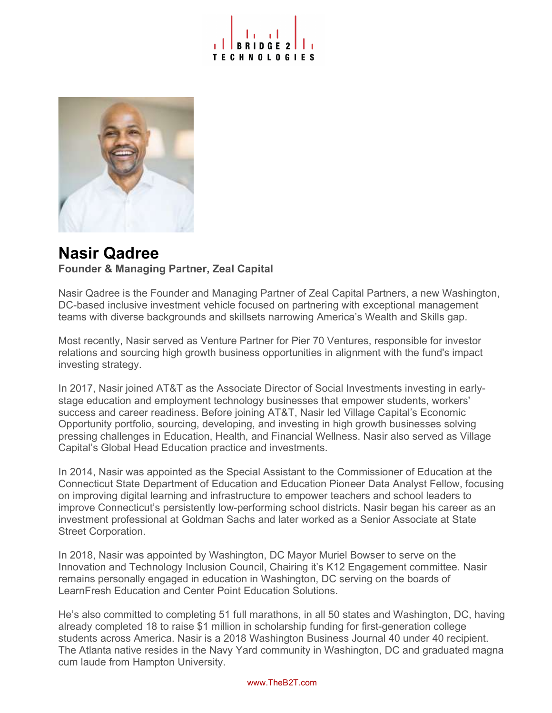



### Nasir Qadree Founder & Managing Partner, Zeal Capital

Nasir Qadree is the Founder and Managing Partner of Zeal Capital Partners, a new Washington, DC-based inclusive investment vehicle focused on partnering with exceptional management teams with diverse backgrounds and skillsets narrowing America's Wealth and Skills gap.

Most recently, Nasir served as Venture Partner for Pier 70 Ventures, responsible for investor relations and sourcing high growth business opportunities in alignment with the fund's impact investing strategy.

In 2017, Nasir joined AT&T as the Associate Director of Social Investments investing in earlystage education and employment technology businesses that empower students, workers' success and career readiness. Before joining AT&T, Nasir led Village Capital's Economic Opportunity portfolio, sourcing, developing, and investing in high growth businesses solving pressing challenges in Education, Health, and Financial Wellness. Nasir also served as Village Capital's Global Head Education practice and investments.

In 2014, Nasir was appointed as the Special Assistant to the Commissioner of Education at the Connecticut State Department of Education and Education Pioneer Data Analyst Fellow, focusing on improving digital learning and infrastructure to empower teachers and school leaders to improve Connecticut's persistently low-performing school districts. Nasir began his career as an investment professional at Goldman Sachs and later worked as a Senior Associate at State Street Corporation.

In 2018, Nasir was appointed by Washington, DC Mayor Muriel Bowser to serve on the Innovation and Technology Inclusion Council, Chairing it's K12 Engagement committee. Nasir remains personally engaged in education in Washington, DC serving on the boards of LearnFresh Education and Center Point Education Solutions.

He's also committed to completing 51 full marathons, in all 50 states and Washington, DC, having already completed 18 to raise \$1 million in scholarship funding for first-generation college students across America. Nasir is a 2018 Washington Business Journal 40 under 40 recipient. The Atlanta native resides in the Navy Yard community in Washington, DC and graduated magna cum laude from Hampton University.